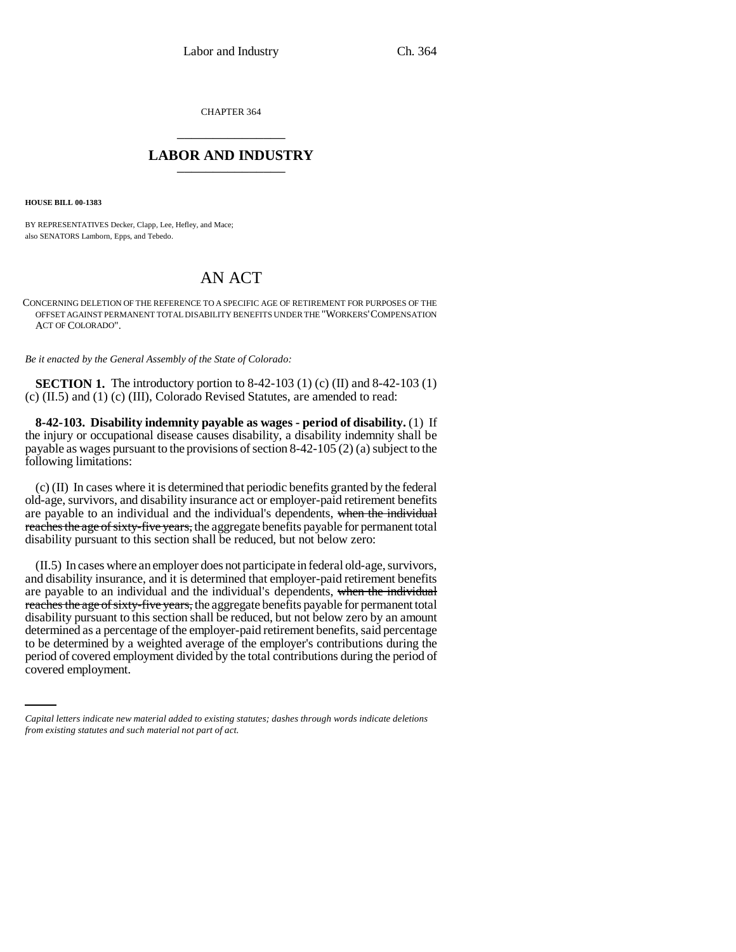CHAPTER 364 \_\_\_\_\_\_\_\_\_\_\_\_\_\_\_

## **LABOR AND INDUSTRY** \_\_\_\_\_\_\_\_\_\_\_\_\_\_\_

**HOUSE BILL 00-1383** 

BY REPRESENTATIVES Decker, Clapp, Lee, Hefley, and Mace; also SENATORS Lamborn, Epps, and Tebedo.

## AN ACT

CONCERNING DELETION OF THE REFERENCE TO A SPECIFIC AGE OF RETIREMENT FOR PURPOSES OF THE OFFSET AGAINST PERMANENT TOTAL DISABILITY BENEFITS UNDER THE "WORKERS'COMPENSATION ACT OF COLORADO".

*Be it enacted by the General Assembly of the State of Colorado:*

**SECTION 1.** The introductory portion to 8-42-103 (1) (c) (II) and 8-42-103 (1) (c) (II.5) and (1) (c) (III), Colorado Revised Statutes, are amended to read:

**8-42-103. Disability indemnity payable as wages - period of disability.** (1) If the injury or occupational disease causes disability, a disability indemnity shall be payable as wages pursuant to the provisions of section 8-42-105 (2) (a) subject to the following limitations:

(c) (II) In cases where it is determined that periodic benefits granted by the federal old-age, survivors, and disability insurance act or employer-paid retirement benefits are payable to an individual and the individual's dependents, when the individual reaches the age of sixty-five years, the aggregate benefits payable for permanent total disability pursuant to this section shall be reduced, but not below zero:

to be determined by a weighted average of the employer's contributions during the (II.5) In cases where an employer does not participate in federal old-age, survivors, and disability insurance, and it is determined that employer-paid retirement benefits are payable to an individual and the individual's dependents, when the individual reaches the age of sixty-five years, the aggregate benefits payable for permanent total disability pursuant to this section shall be reduced, but not below zero by an amount determined as a percentage of the employer-paid retirement benefits, said percentage period of covered employment divided by the total contributions during the period of covered employment.

*Capital letters indicate new material added to existing statutes; dashes through words indicate deletions from existing statutes and such material not part of act.*